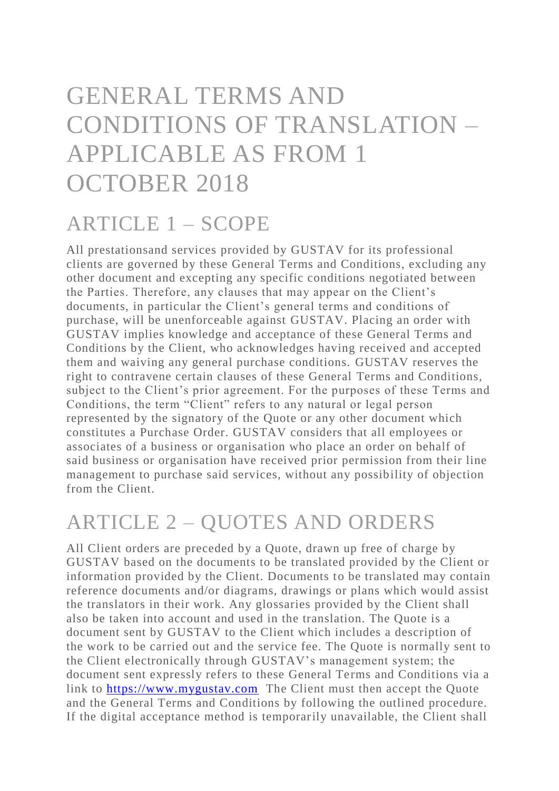# GENERAL TERMS AND CONDITIONS OF TRANSLATION – APPLICABLE AS FROM 1 OCTOBER 2018

#### ARTICLE 1 – SCOPE

All prestationsand services provided by GUSTAV for its professional clients are governed by these General Terms and Conditions, excluding any other document and excepting any specific conditions negotiated between the Parties. Therefore, any clauses that may appear on the Client's documents, in particular the Client's general terms and conditions of purchase, will be unenforceable against GUSTAV. Placing an order with GUSTAV implies knowledge and acceptance of these General Terms and Conditions by the Client, who acknowledges having received and accepted them and waiving any general purchase conditions. GUSTAV reserves the right to contravene certain clauses of these General Terms and Conditions, subject to the Client's prior agreement. For the purposes of these Terms and Conditions, the term "Client" refers to any natural or legal person represented by the signatory of the Quote or any other document which constitutes a Purchase Order. GUSTAV considers that all employees or associates of a business or organisation who place an order on behalf of said business or organisation have received prior permission from their line management to purchase said services, without any possibility of objection from the Client.

#### ARTICLE 2 – QUOTES AND ORDERS

All Client orders are preceded by a Quote, drawn up free of charge by GUSTAV based on the documents to be translated provided by the Client or information provided by the Client. Documents to be translated may contain reference documents and/or diagrams, drawings or plans which would assist the translators in their work. Any glossaries provided by the Client shall also be taken into account and used in the translation. The Quote is a document sent by GUSTAV to the Client which includes a description of the work to be carried out and the service fee. The Quote is normally sent to the Client electronically through GUSTAV's management system; the document sent expressly refers to these General Terms and Conditions via a link to [https://www.mygustav.com](https://www.mygustav.com/) The Client must then accept the Quote and the General Terms and Conditions by following the outlined procedure. If the digital acceptance method is temporarily unavailable, the Client shall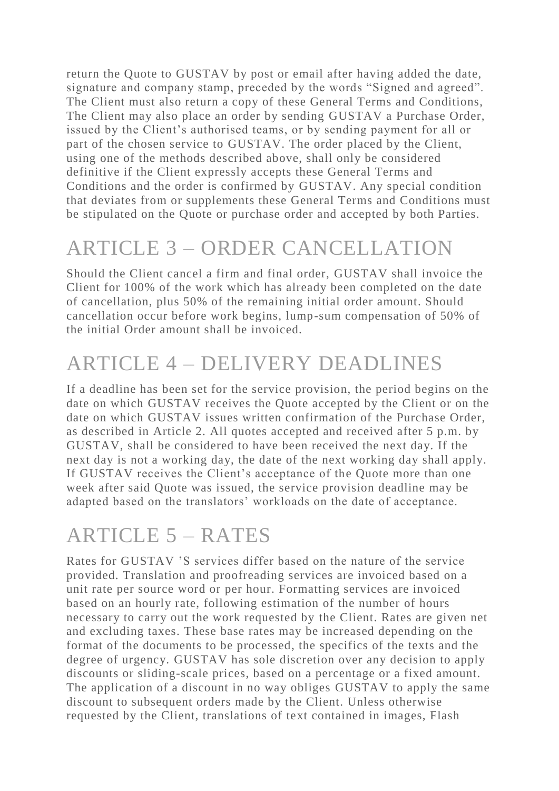return the Quote to GUSTAV by post or email after having added the date, signature and company stamp, preceded by the words "Signed and agreed". The Client must also return a copy of these General Terms and Conditions, The Client may also place an order by sending GUSTAV a Purchase Order, issued by the Client's authorised teams, or by sending payment for all or part of the chosen service to GUSTAV. The order placed by the Client, using one of the methods described above, shall only be considered definitive if the Client expressly accepts these General Terms and Conditions and the order is confirmed by GUSTAV. Any special condition that deviates from or supplements these General Terms and Conditions must be stipulated on the Quote or purchase order and accepted by both Parties.

# ARTICLE 3 – ORDER CANCELLATION

Should the Client cancel a firm and final order, GUSTAV shall invoice the Client for 100% of the work which has already been completed on the date of cancellation, plus 50% of the remaining initial order amount. Should cancellation occur before work begins, lump-sum compensation of 50% of the initial Order amount shall be invoiced.

## ARTICLE 4 – DELIVERY DEADLINES

If a deadline has been set for the service provision, the period begins on the date on which GUSTAV receives the Quote accepted by the Client or on the date on which GUSTAV issues written confirmation of the Purchase Order, as described in Article 2. All quotes accepted and received after 5 p.m. by GUSTAV, shall be considered to have been received the next day. If the next day is not a working day, the date of the next working day shall apply. If GUSTAV receives the Client's acceptance of the Quote more than one week after said Quote was issued, the service provision deadline may be adapted based on the translators' workloads on the date of acceptance.

#### ARTICLE 5 – RATES

Rates for GUSTAV 'S services differ based on the nature of the service provided. Translation and proofreading services are invoiced based on a unit rate per source word or per hour. Formatting services are invoiced based on an hourly rate, following estimation of the number of hours necessary to carry out the work requested by the Client. Rates are given net and excluding taxes. These base rates may be increased depending on the format of the documents to be processed, the specifics of the texts and the degree of urgency. GUSTAV has sole discretion over any decision to apply discounts or sliding-scale prices, based on a percentage or a fixed amount. The application of a discount in no way obliges GUSTAV to apply the same discount to subsequent orders made by the Client. Unless otherwise requested by the Client, translations of text contained in images, Flash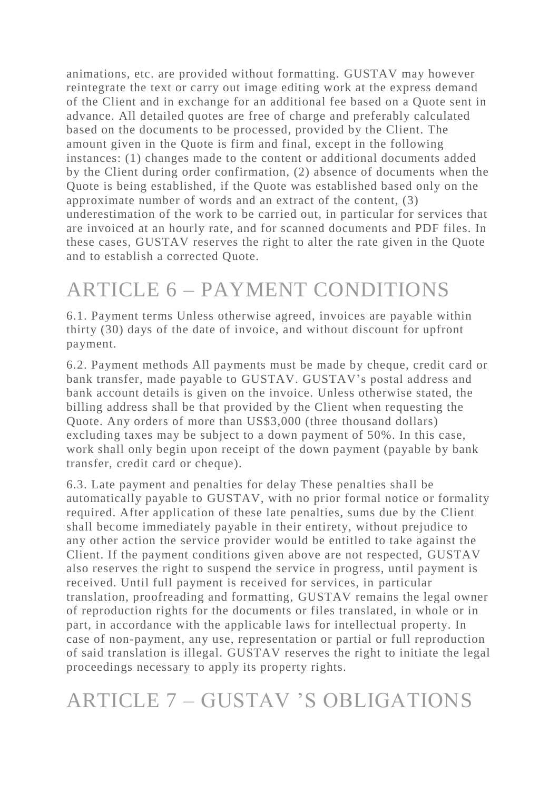animations, etc. are provided without formatting. GUSTAV may however reintegrate the text or carry out image editing work at the express demand of the Client and in exchange for an additional fee based on a Quote sent in advance. All detailed quotes are free of charge and preferably calculated based on the documents to be processed, provided by the Client. The amount given in the Quote is firm and final, except in the following instances: (1) changes made to the content or additional documents added by the Client during order confirmation, (2) absence of documents when the Quote is being established, if the Quote was established based only on the approximate number of words and an extract of the content, (3) underestimation of the work to be carried out, in particular for services that are invoiced at an hourly rate, and for scanned documents and PDF files. In these cases, GUSTAV reserves the right to alter the rate given in the Quote and to establish a corrected Quote.

# ARTICLE 6 – PAYMENT CONDITIONS

6.1. Payment terms Unless otherwise agreed, invoices are payable within thirty (30) days of the date of invoice, and without discount for upfront payment.

6.2. Payment methods All payments must be made by cheque, credit card or bank transfer, made payable to GUSTAV. GUSTAV's postal address and bank account details is given on the invoice. Unless otherwise stated, the billing address shall be that provided by the Client when requesting the Quote. Any orders of more than US\$3,000 (three thousand dollars) excluding taxes may be subject to a down payment of 50%. In this case, work shall only begin upon receipt of the down payment (payable by bank transfer, credit card or cheque).

6.3. Late payment and penalties for delay These penalties sha ll be automatically payable to GUSTAV, with no prior formal notice or formality required. After application of these late penalties, sums due by the Client shall become immediately payable in their entirety, without prejudice to any other action the service provider would be entitled to take against the Client. If the payment conditions given above are not respected, GUSTAV also reserves the right to suspend the service in progress, until payment is received. Until full payment is received for services, in particular translation, proofreading and formatting, GUSTAV remains the legal owner of reproduction rights for the documents or files translated, in whole or in part, in accordance with the applicable laws for intellectual property. In case of non-payment, any use, representation or partial or full reproduction of said translation is illegal. GUSTAV reserves the right to initiate the legal proceedings necessary to apply its property rights.

#### ARTICLE 7 – GUSTAV 'S OBLIGATIONS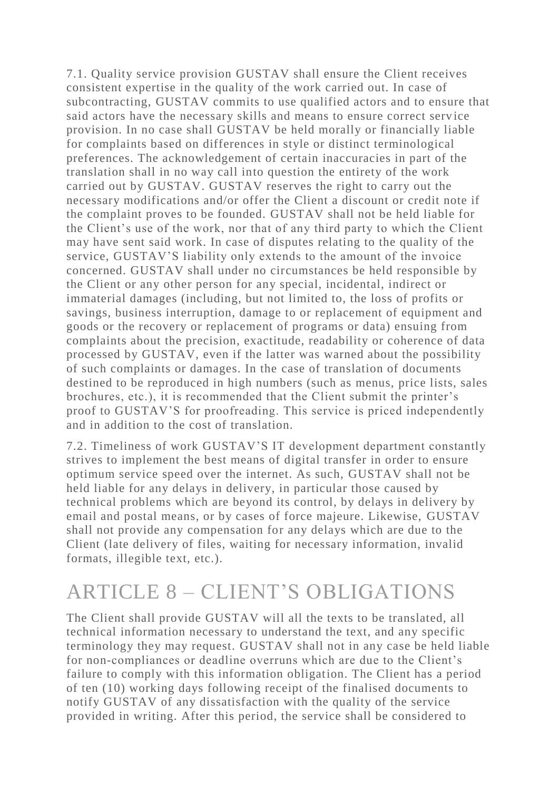7.1. Quality service provision GUSTAV shall ensure the Client receives consistent expertise in the quality of the work carried out. In case of subcontracting, GUSTAV commits to use qualified actors and to ensure that said actors have the necessary skills and means to ensure correct serv ice provision. In no case shall GUSTAV be held morally or financially liable for complaints based on differences in style or distinct terminological preferences. The acknowledgement of certain inaccuracies in part of the translation shall in no way call into question the entirety of the work carried out by GUSTAV. GUSTAV reserves the right to carry out the necessary modifications and/or offer the Client a discount or credit note if the complaint proves to be founded. GUSTAV shall not be held liable for the Client's use of the work, nor that of any third party to which the Client may have sent said work. In case of disputes relating to the quality of the service, GUSTAV'S liability only extends to the amount of the invoice concerned. GUSTAV shall under no circumstances be held responsible by the Client or any other person for any special, incidental, indirect or immaterial damages (including, but not limited to, the loss of profits or savings, business interruption, damage to or replacement of equipment and goods or the recovery or replacement of programs or data) ensuing from complaints about the precision, exactitude, readability or coherence of data processed by GUSTAV, even if the latter was warned about the possibility of such complaints or damages. In the case of translation of documents destined to be reproduced in high numbers (such as menus, price lists, sales brochures, etc.), it is recommended that the Client submit the printer's proof to GUSTAV'S for proofreading. This service is priced independently and in addition to the cost of translation.

7.2. Timeliness of work GUSTAV'S IT development department constantly strives to implement the best means of digital transfer in order to ensure optimum service speed over the internet. As such, GUSTAV shall not be held liable for any delays in delivery, in particular those caused by technical problems which are beyond its control, by delays in delivery by email and postal means, or by cases of force majeure. Likewise, GUSTAV shall not provide any compensation for any delays which are due to the Client (late delivery of files, waiting for necessary information, invalid formats, illegible text, etc.).

#### ARTICLE 8 – CLIENT'S OBLIGATIONS

The Client shall provide GUSTAV will all the texts to be translated, all technical information necessary to understand the text, and any specific terminology they may request. GUSTAV shall not in any case be held liable for non-compliances or deadline overruns which are due to the Client's failure to comply with this information obligation. The Client has a period of ten (10) working days following receipt of the finalised documents to notify GUSTAV of any dissatisfaction with the quality of the service provided in writing. After this period, the service shall be considered to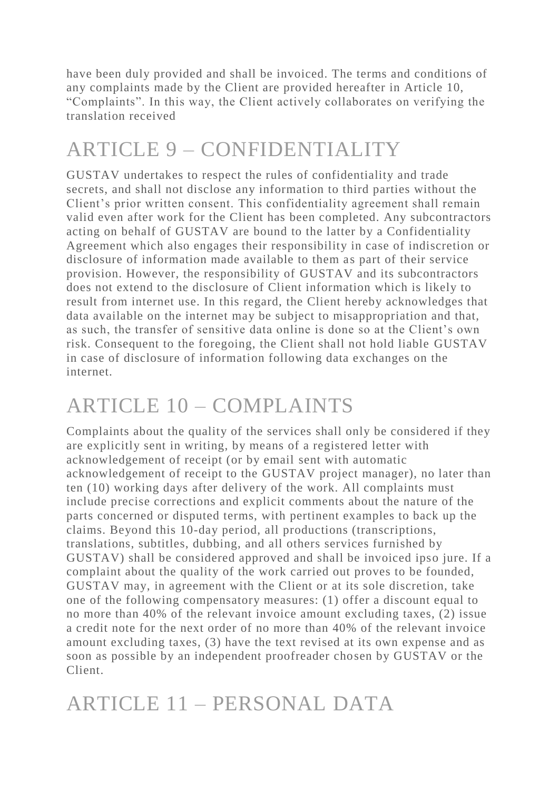have been duly provided and shall be invoiced. The terms and conditions of any complaints made by the Client are provided hereafter in Article 10, "Complaints". In this way, the Client actively collaborates on verifying the translation received

# ARTICLE 9 – CONFIDENTIALITY

GUSTAV undertakes to respect the rules of confidentiality and trade secrets, and shall not disclose any information to third parties without the Client's prior written consent. This confidentiality agreement shall remain valid even after work for the Client has been completed. Any subcontractors acting on behalf of GUSTAV are bound to the latter by a Confidentiality Agreement which also engages their responsibility in case of indiscretion or disclosure of information made available to them as part of their service provision. However, the responsibility of GUSTAV and its subcontractors does not extend to the disclosure of Client information which is likely to result from internet use. In this regard, the Client hereby acknowledges that data available on the internet may be subject to misappropriation and that, as such, the transfer of sensitive data online is done so at the Client's own risk. Consequent to the foregoing, the Client shall not hold liable GUSTAV in case of disclosure of information following data exchanges on the internet.

# ARTICLE 10 – COMPLAINTS

Complaints about the quality of the services shall only be considered if they are explicitly sent in writing, by means of a registered letter with acknowledgement of receipt (or by email sent with automatic acknowledgement of receipt to the GUSTAV project manager), no later than ten (10) working days after delivery of the work. All complaints must include precise corrections and explicit comments about the nature of the parts concerned or disputed terms, with pertinent examples to back up the claims. Beyond this 10-day period, all productions (transcriptions, translations, subtitles, dubbing, and all others services furnished by GUSTAV) shall be considered approved and shall be invoiced ipso jure. If a complaint about the quality of the work carried out proves to be founded, GUSTAV may, in agreement with the Client or at its sole discretion, take one of the following compensatory measures: (1) offer a discount equal to no more than 40% of the relevant invoice amount excluding taxes, (2) issue a credit note for the next order of no more than 40% of the relevant invoice amount excluding taxes, (3) have the text revised at its own expense and as soon as possible by an independent proofreader chosen by GUSTAV or the Client.

# ARTICLE 11 – PERSONAL DATA